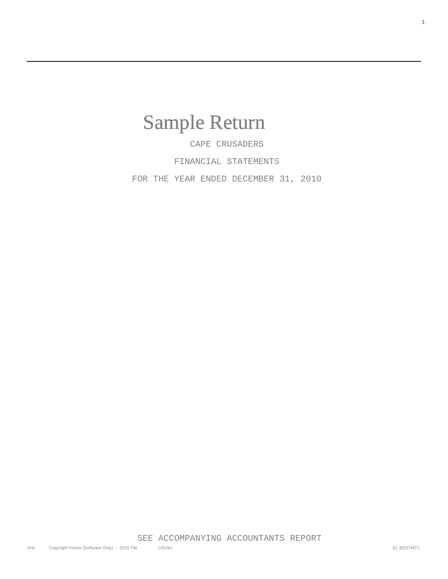## Sample Return

 CAPE CRUSADERS FINANCIAL STATEMENTS

FOR THE YEAR ENDED DECEMBER 31, 2010

**1**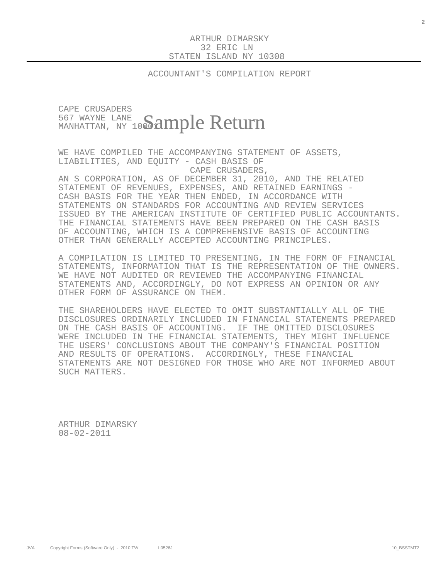ACCOUNTANT'S COMPILATION REPORT

## CAPE CRUSADERS 567 WAYNE LANE  $\frac{567}{\text{MANHATTAN}}$ , ny 10 $\bf{Sample~Return}$

 WE HAVE COMPILED THE ACCOMPANYING STATEMENT OF ASSETS, LIABILITIES, AND EQUITY - CASH BASIS OF CAPE CRUSADERS,

 AN S CORPORATION, AS OF DECEMBER 31, 2010, AND THE RELATED STATEMENT OF REVENUES, EXPENSES, AND RETAINED EARNINGS - CASH BASIS FOR THE YEAR THEN ENDED, IN ACCORDANCE WITH STATEMENTS ON STANDARDS FOR ACCOUNTING AND REVIEW SERVICES ISSUED BY THE AMERICAN INSTITUTE OF CERTIFIED PUBLIC ACCOUNTANTS. THE FINANCIAL STATEMENTS HAVE BEEN PREPARED ON THE CASH BASIS OF ACCOUNTING, WHICH IS A COMPREHENSIVE BASIS OF ACCOUNTING OTHER THAN GENERALLY ACCEPTED ACCOUNTING PRINCIPLES.

 A COMPILATION IS LIMITED TO PRESENTING, IN THE FORM OF FINANCIAL STATEMENTS, INFORMATION THAT IS THE REPRESENTATION OF THE OWNERS. WE HAVE NOT AUDITED OR REVIEWED THE ACCOMPANYING FINANCIAL STATEMENTS AND, ACCORDINGLY, DO NOT EXPRESS AN OPINION OR ANY OTHER FORM OF ASSURANCE ON THEM.

 THE SHAREHOLDERS HAVE ELECTED TO OMIT SUBSTANTIALLY ALL OF THE DISCLOSURES ORDINARILY INCLUDED IN FINANCIAL STATEMENTS PREPARED ON THE CASH BASIS OF ACCOUNTING. IF THE OMITTED DISCLOSURES WERE INCLUDED IN THE FINANCIAL STATEMENTS, THEY MIGHT INFLUENCE THE USERS' CONCLUSIONS ABOUT THE COMPANY'S FINANCIAL POSITION AND RESULTS OF OPERATIONS. ACCORDINGLY, THESE FINANCIAL STATEMENTS ARE NOT DESIGNED FOR THOSE WHO ARE NOT INFORMED ABOUT SUCH MATTERS.

 ARTHUR DIMARSKY 08-02-2011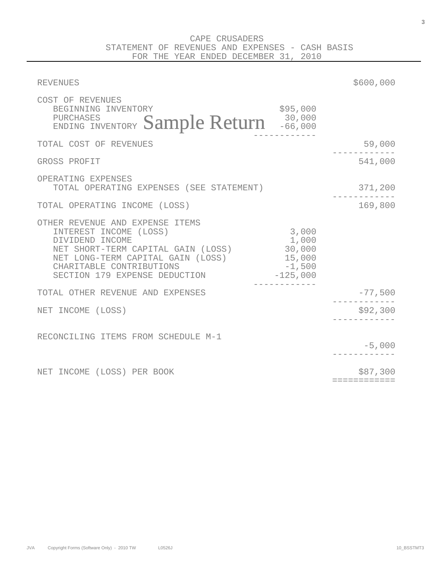| <b>REVENUES</b>                                                                                                                                                                                                      |                                                              | \$600,000                |
|----------------------------------------------------------------------------------------------------------------------------------------------------------------------------------------------------------------------|--------------------------------------------------------------|--------------------------|
| COST OF REVENUES<br>BEGINNING INVENTORY<br>ENDING INVENTORY Sample Return 30,000                                                                                                                                     | \$95,000                                                     |                          |
| TOTAL COST OF REVENUES                                                                                                                                                                                               |                                                              | 59,000                   |
| GROSS PROFIT                                                                                                                                                                                                         |                                                              | 541,000                  |
| OPERATING EXPENSES<br>TOTAL OPERATING EXPENSES (SEE STATEMENT)                                                                                                                                                       |                                                              | 371,200                  |
| TOTAL OPERATING INCOME (LOSS)                                                                                                                                                                                        |                                                              | 169,800                  |
| OTHER REVENUE AND EXPENSE ITEMS<br>INTEREST INCOME (LOSS)<br>DIVIDEND INCOME<br>NET SHORT-TERM CAPITAL GAIN (LOSS)<br>NET LONG-TERM CAPITAL GAIN (LOSS)<br>CHARITABLE CONTRIBUTIONS<br>SECTION 179 EXPENSE DEDUCTION | 3,000<br>1,000<br>30,000<br>15,000<br>$-1,500$<br>$-125,000$ |                          |
| TOTAL OTHER REVENUE AND EXPENSES                                                                                                                                                                                     |                                                              | $-77,500$                |
| NET INCOME (LOSS)                                                                                                                                                                                                    |                                                              | \$92,300                 |
| RECONCILING ITEMS FROM SCHEDULE M-1                                                                                                                                                                                  |                                                              | $-5,000$                 |
| NET INCOME (LOSS) PER BOOK                                                                                                                                                                                           |                                                              | \$87,300<br>============ |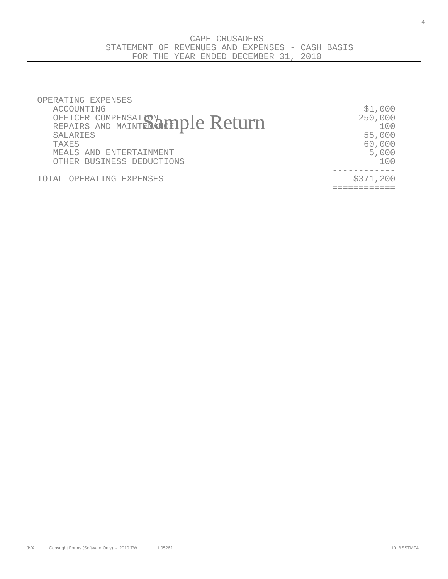| OPERATING EXPENSES                |           |
|-----------------------------------|-----------|
| ACCOUNTING                        | \$1,000   |
|                                   | 250,000   |
| OFFICER COMPENSATION 10010 Return | 100       |
| SALARIES                          | 55,000    |
| <b>TAXES</b>                      | 60,000    |
| MEALS AND ENTERTAINMENT           | 5,000     |
| OTHER BUSINESS DEDUCTIONS         | 1 N N     |
|                                   |           |
| TOTAL OPERATING EXPENSES          | \$371,200 |
|                                   |           |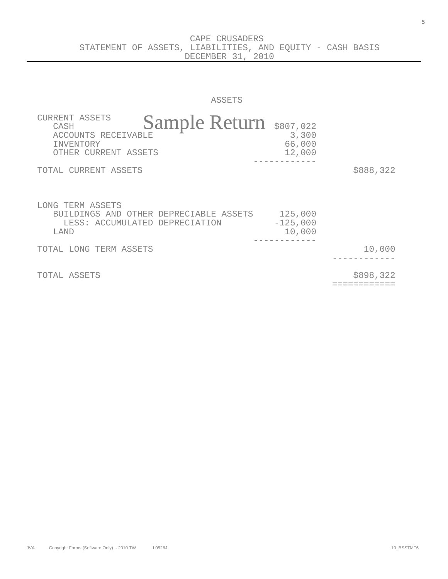CAPE CRUSADERS STATEMENT OF ASSETS, LIABILITIES, AND EQUITY - CASH BASIS DECEMBER 31, 2010

ASSETS

| <b>CURRENT ASSETS</b><br>Sample Return \$807,022<br>CASH<br>ACCOUNTS RECEIVABLE<br>INVENTORY<br>OTHER CURRENT ASSETS | 3,300<br>66,000<br>12,000       |           |
|----------------------------------------------------------------------------------------------------------------------|---------------------------------|-----------|
| TOTAL CURRENT ASSETS                                                                                                 |                                 | \$888,322 |
| LONG TERM ASSETS<br>BUILDINGS AND OTHER DEPRECIABLE ASSETS<br>LESS: ACCUMULATED DEPRECIATION<br>LAND                 | 125,000<br>$-125,000$<br>10,000 |           |
| TOTAL LONG TERM ASSETS                                                                                               |                                 | 10,000    |
| TOTAL ASSETS                                                                                                         |                                 | \$898,322 |

============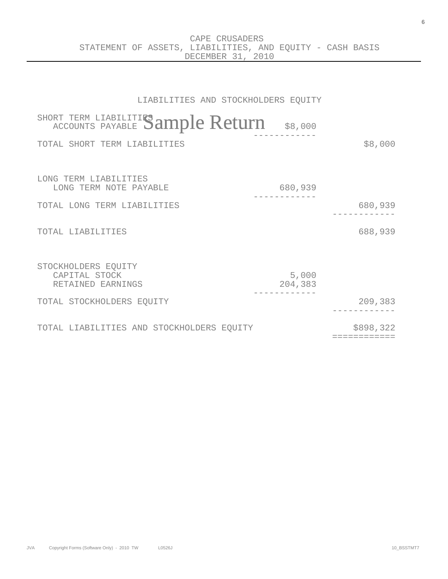CAPE CRUSADERS STATEMENT OF ASSETS, LIABILITIES, AND EQUITY - CASH BASIS DECEMBER 31, 2010

| LIABILITIES AND STOCKHOLDERS EQUITY                       |                  |                          |
|-----------------------------------------------------------|------------------|--------------------------|
| SHORT TERM LIABILITIES ample Return                       | \$8,000          |                          |
| TOTAL SHORT TERM LIABILITIES                              |                  | \$8,000                  |
|                                                           |                  |                          |
| LONG TERM LIABILITIES<br>LONG TERM NOTE PAYABLE           | 680,939          |                          |
| TOTAL LONG TERM LIABILITIES                               |                  | 680,939                  |
| TOTAL LIABILITIES                                         |                  | 688,939                  |
| STOCKHOLDERS EQUITY<br>CAPITAL STOCK<br>RETAINED EARNINGS | 5,000<br>204,383 |                          |
| TOTAL STOCKHOLDERS EQUITY                                 |                  | 209,383                  |
| TOTAL LIABILITIES AND STOCKHOLDERS EQUITY                 |                  | \$898,322<br>=========== |

**6**